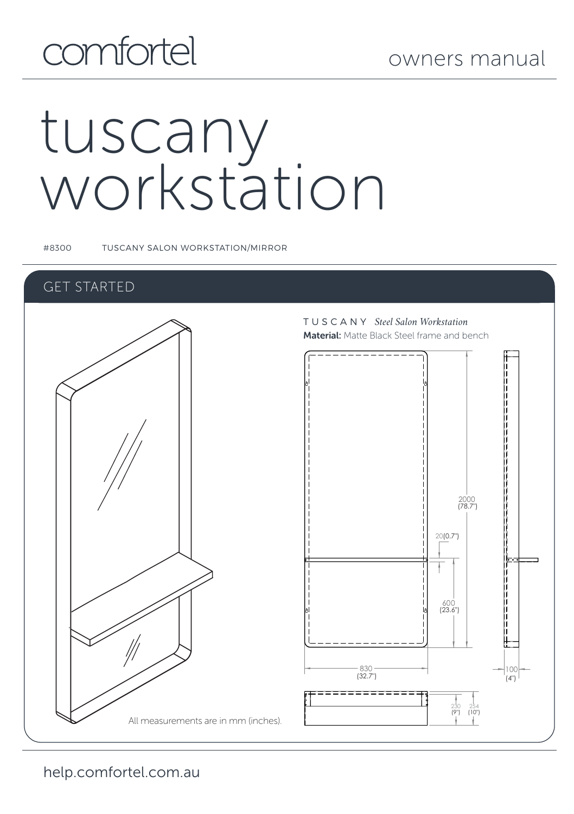## comfortel

# tuscany workstation

#8300 TUSCANY SALON WORKSTATION/MIRROR

## GET STARTED

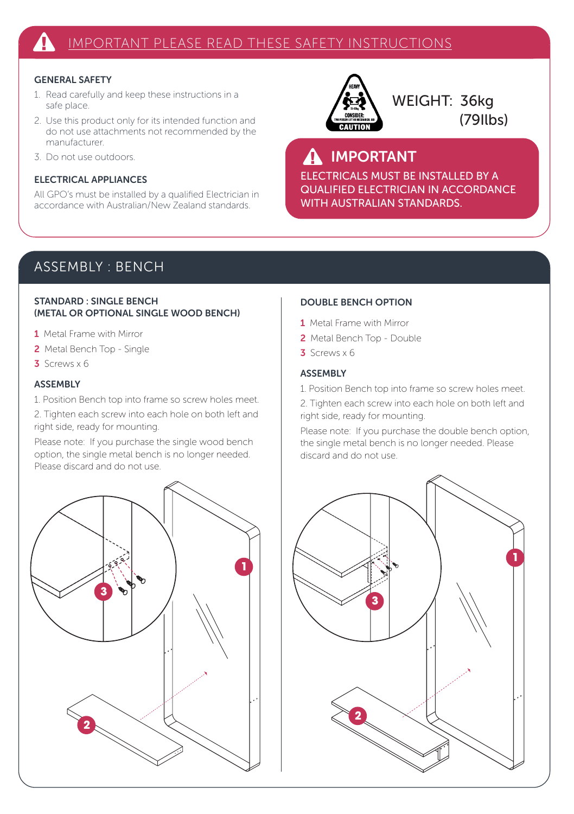## GENERAL SAFETY

- 1. Read carefully and keep these instructions in a safe place.
- 2. Use this product only for its intended function and do not use attachments not recommended by the manufacturer.
- 3. Do not use outdoors.

## ELECTRICAL APPLIANCES

All GPO's must be installed by a qualified Electrician in accordance with Australian/New Zealand standards.



WEIGHT: 36kg (79Ilbs)

## A IMPORTANT

ELECTRICALS MUST BE INSTALLED BY A QUALIFIED ELECTRICIAN IN ACCORDANCE WITH AUSTRALIAN STANDARDS.

## ASSEMBLY : BENCH

### STANDARD : SINGLE BENCH (METAL OR OPTIONAL SINGLE WOOD BENCH)

- 1 Metal Frame with Mirror
- 2 Metal Bench Top Single
- 3 Screws x 6

## **ASSEMBLY**

1. Position Bench top into frame so screw holes meet.

2. Tighten each screw into each hole on both left and right side, ready for mounting.

Please note: If you purchase the single wood bench option, the single metal bench is no longer needed. Please discard and do not use.



#### DOUBLE BENCH OPTION

- 1 Metal Frame with Mirror
- 2 Metal Bench Top Double
- $3$  Screws  $\times$  6

## **ASSEMBLY**

- 1. Position Bench top into frame so screw holes meet.
- 2. Tighten each screw into each hole on both left and right side, ready for mounting.

Please note: If you purchase the double bench option, the single metal bench is no longer needed. Please discard and do not use.

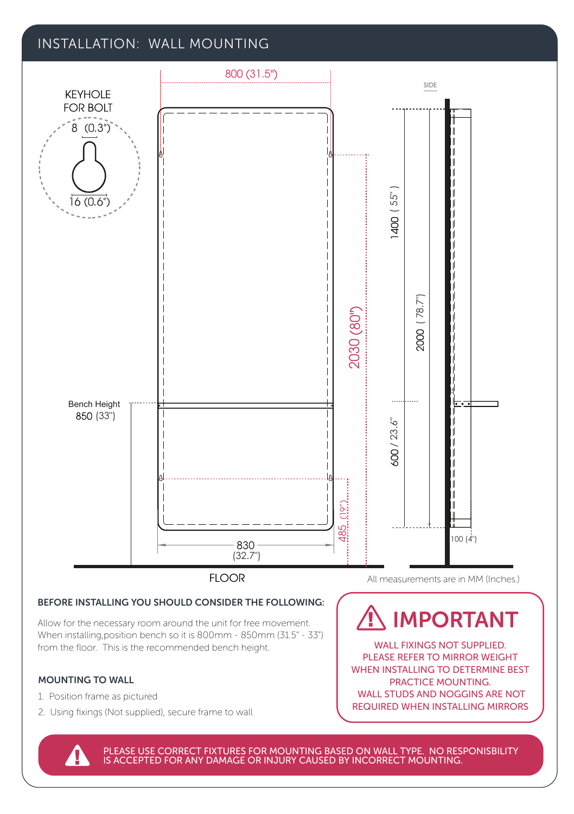## INSTALLATION: WALL MOUNTING



PLEASE USE CORRECT FIXTURES FOR MOUNTING BASED ON WALL TYPE. NO RESPONISBILITY IS ACCEPTED FOR ANY DAMAGE OR INJURY CAUSED BY INCORRECT MOUNTING.